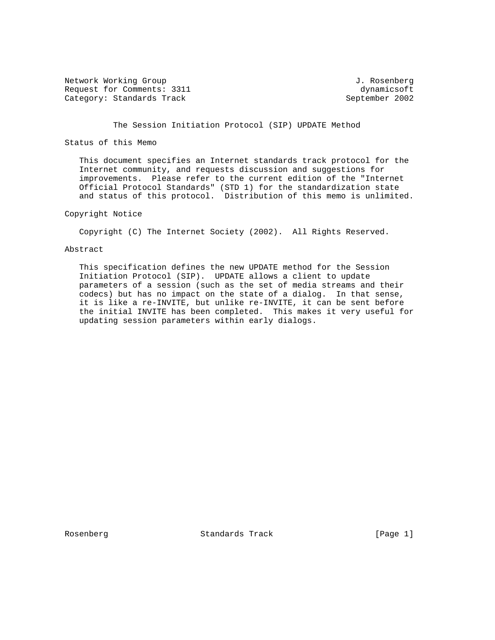Network Working Group 3. 2008 1. Rosenberg 3. Rosenberg 3. Rosenberg Request for Comments: 3311 dynamicsoft Category: Standards Track September 2002

# The Session Initiation Protocol (SIP) UPDATE Method

Status of this Memo

 This document specifies an Internet standards track protocol for the Internet community, and requests discussion and suggestions for improvements. Please refer to the current edition of the "Internet Official Protocol Standards" (STD 1) for the standardization state and status of this protocol. Distribution of this memo is unlimited.

# Copyright Notice

Copyright (C) The Internet Society (2002). All Rights Reserved.

# Abstract

 This specification defines the new UPDATE method for the Session Initiation Protocol (SIP). UPDATE allows a client to update parameters of a session (such as the set of media streams and their codecs) but has no impact on the state of a dialog. In that sense, it is like a re-INVITE, but unlike re-INVITE, it can be sent before the initial INVITE has been completed. This makes it very useful for updating session parameters within early dialogs.

Rosenberg Standards Track [Page 1]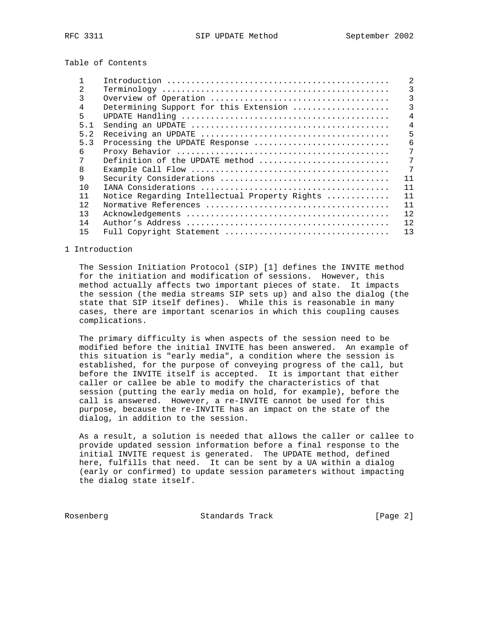Table of Contents

| 2   |                                               | 3   |
|-----|-----------------------------------------------|-----|
| 3   |                                               | 3   |
| 4   | Determining Support for this Extension        | 3   |
| 5   |                                               | 4   |
| 5.1 |                                               | 4   |
| 5.2 |                                               | 5   |
| 53  | Processing the UPDATE Response                | 6   |
| 6   |                                               |     |
| 7   | Definition of the UPDATE method               | 7   |
| 8   |                                               | 7   |
| 9   |                                               | 11  |
|     |                                               | 11  |
| 11  | Notice Regarding Intellectual Property Rights | 11  |
| 12  |                                               | 11  |
| 13  |                                               | 12. |
| 14  |                                               | 12  |
| 15  | Full Copyright Statement                      | 13  |

## 1 Introduction

 The Session Initiation Protocol (SIP) [1] defines the INVITE method for the initiation and modification of sessions. However, this method actually affects two important pieces of state. It impacts the session (the media streams SIP sets up) and also the dialog (the state that SIP itself defines). While this is reasonable in many cases, there are important scenarios in which this coupling causes complications.

 The primary difficulty is when aspects of the session need to be modified before the initial INVITE has been answered. An example of this situation is "early media", a condition where the session is established, for the purpose of conveying progress of the call, but before the INVITE itself is accepted. It is important that either caller or callee be able to modify the characteristics of that session (putting the early media on hold, for example), before the call is answered. However, a re-INVITE cannot be used for this purpose, because the re-INVITE has an impact on the state of the dialog, in addition to the session.

 As a result, a solution is needed that allows the caller or callee to provide updated session information before a final response to the initial INVITE request is generated. The UPDATE method, defined here, fulfills that need. It can be sent by a UA within a dialog (early or confirmed) to update session parameters without impacting the dialog state itself.

Rosenberg Standards Track [Page 2]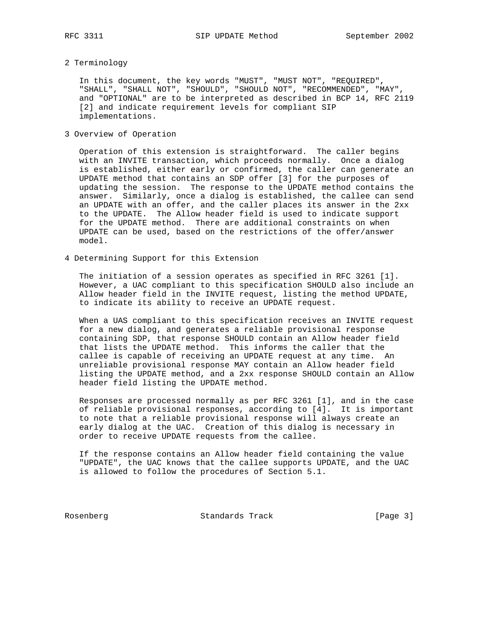#### 2 Terminology

 In this document, the key words "MUST", "MUST NOT", "REQUIRED", "SHALL", "SHALL NOT", "SHOULD", "SHOULD NOT", "RECOMMENDED", "MAY", and "OPTIONAL" are to be interpreted as described in BCP 14, RFC 2119 [2] and indicate requirement levels for compliant SIP implementations.

3 Overview of Operation

 Operation of this extension is straightforward. The caller begins with an INVITE transaction, which proceeds normally. Once a dialog is established, either early or confirmed, the caller can generate an UPDATE method that contains an SDP offer [3] for the purposes of updating the session. The response to the UPDATE method contains the answer. Similarly, once a dialog is established, the callee can send an UPDATE with an offer, and the caller places its answer in the 2xx to the UPDATE. The Allow header field is used to indicate support for the UPDATE method. There are additional constraints on when UPDATE can be used, based on the restrictions of the offer/answer model.

4 Determining Support for this Extension

 The initiation of a session operates as specified in RFC 3261 [1]. However, a UAC compliant to this specification SHOULD also include an Allow header field in the INVITE request, listing the method UPDATE, to indicate its ability to receive an UPDATE request.

 When a UAS compliant to this specification receives an INVITE request for a new dialog, and generates a reliable provisional response containing SDP, that response SHOULD contain an Allow header field that lists the UPDATE method. This informs the caller that the callee is capable of receiving an UPDATE request at any time. An unreliable provisional response MAY contain an Allow header field listing the UPDATE method, and a 2xx response SHOULD contain an Allow header field listing the UPDATE method.

 Responses are processed normally as per RFC 3261 [1], and in the case of reliable provisional responses, according to [4]. It is important to note that a reliable provisional response will always create an early dialog at the UAC. Creation of this dialog is necessary in order to receive UPDATE requests from the callee.

 If the response contains an Allow header field containing the value "UPDATE", the UAC knows that the callee supports UPDATE, and the UAC is allowed to follow the procedures of Section 5.1.

Rosenberg Standards Track [Page 3]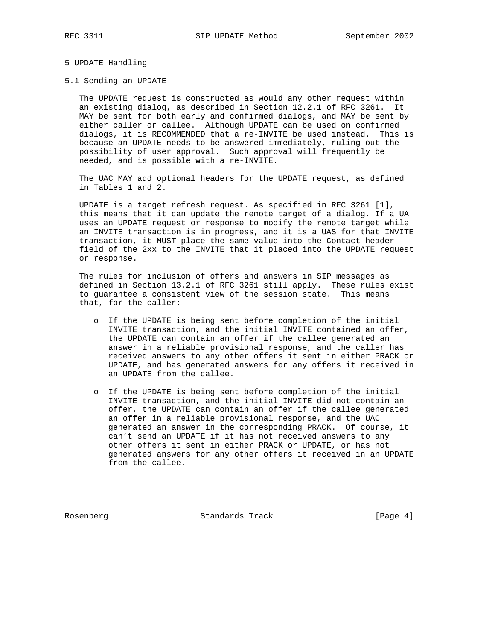# 5 UPDATE Handling

## 5.1 Sending an UPDATE

 The UPDATE request is constructed as would any other request within an existing dialog, as described in Section 12.2.1 of RFC 3261. It MAY be sent for both early and confirmed dialogs, and MAY be sent by either caller or callee. Although UPDATE can be used on confirmed dialogs, it is RECOMMENDED that a re-INVITE be used instead. This is because an UPDATE needs to be answered immediately, ruling out the possibility of user approval. Such approval will frequently be needed, and is possible with a re-INVITE.

 The UAC MAY add optional headers for the UPDATE request, as defined in Tables 1 and 2.

 UPDATE is a target refresh request. As specified in RFC 3261 [1], this means that it can update the remote target of a dialog. If a UA uses an UPDATE request or response to modify the remote target while an INVITE transaction is in progress, and it is a UAS for that INVITE transaction, it MUST place the same value into the Contact header field of the 2xx to the INVITE that it placed into the UPDATE request or response.

 The rules for inclusion of offers and answers in SIP messages as defined in Section 13.2.1 of RFC 3261 still apply. These rules exist to guarantee a consistent view of the session state. This means that, for the caller:

- o If the UPDATE is being sent before completion of the initial INVITE transaction, and the initial INVITE contained an offer, the UPDATE can contain an offer if the callee generated an answer in a reliable provisional response, and the caller has received answers to any other offers it sent in either PRACK or UPDATE, and has generated answers for any offers it received in an UPDATE from the callee.
- o If the UPDATE is being sent before completion of the initial INVITE transaction, and the initial INVITE did not contain an offer, the UPDATE can contain an offer if the callee generated an offer in a reliable provisional response, and the UAC generated an answer in the corresponding PRACK. Of course, it can't send an UPDATE if it has not received answers to any other offers it sent in either PRACK or UPDATE, or has not generated answers for any other offers it received in an UPDATE from the callee.

Rosenberg Standards Track [Page 4]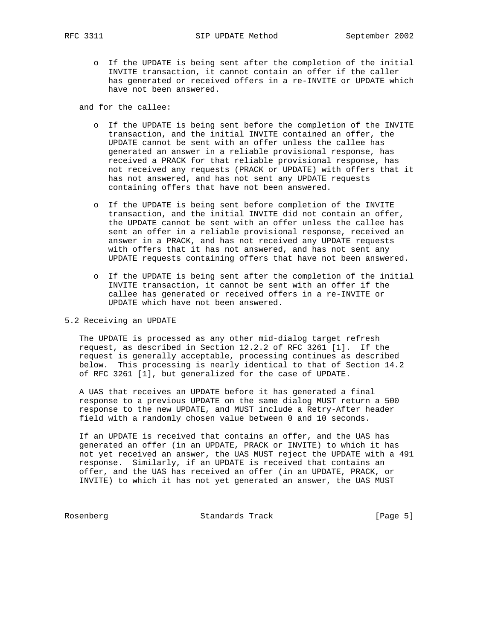o If the UPDATE is being sent after the completion of the initial INVITE transaction, it cannot contain an offer if the caller has generated or received offers in a re-INVITE or UPDATE which have not been answered.

and for the callee:

- o If the UPDATE is being sent before the completion of the INVITE transaction, and the initial INVITE contained an offer, the UPDATE cannot be sent with an offer unless the callee has generated an answer in a reliable provisional response, has received a PRACK for that reliable provisional response, has not received any requests (PRACK or UPDATE) with offers that it has not answered, and has not sent any UPDATE requests containing offers that have not been answered.
- o If the UPDATE is being sent before completion of the INVITE transaction, and the initial INVITE did not contain an offer, the UPDATE cannot be sent with an offer unless the callee has sent an offer in a reliable provisional response, received an answer in a PRACK, and has not received any UPDATE requests with offers that it has not answered, and has not sent any UPDATE requests containing offers that have not been answered.
- o If the UPDATE is being sent after the completion of the initial INVITE transaction, it cannot be sent with an offer if the callee has generated or received offers in a re-INVITE or UPDATE which have not been answered.

5.2 Receiving an UPDATE

 The UPDATE is processed as any other mid-dialog target refresh request, as described in Section 12.2.2 of RFC 3261 [1]. If the request is generally acceptable, processing continues as described below. This processing is nearly identical to that of Section 14.2 of RFC 3261 [1], but generalized for the case of UPDATE.

 A UAS that receives an UPDATE before it has generated a final response to a previous UPDATE on the same dialog MUST return a 500 response to the new UPDATE, and MUST include a Retry-After header field with a randomly chosen value between 0 and 10 seconds.

 If an UPDATE is received that contains an offer, and the UAS has generated an offer (in an UPDATE, PRACK or INVITE) to which it has not yet received an answer, the UAS MUST reject the UPDATE with a 491 response. Similarly, if an UPDATE is received that contains an offer, and the UAS has received an offer (in an UPDATE, PRACK, or INVITE) to which it has not yet generated an answer, the UAS MUST

Rosenberg Standards Track [Page 5]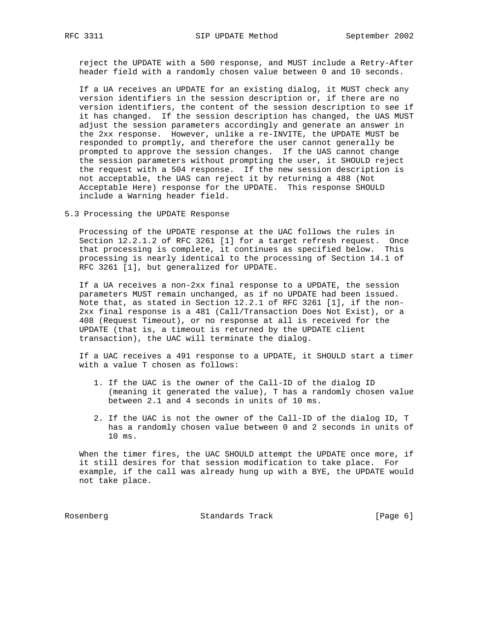reject the UPDATE with a 500 response, and MUST include a Retry-After header field with a randomly chosen value between 0 and 10 seconds.

 If a UA receives an UPDATE for an existing dialog, it MUST check any version identifiers in the session description or, if there are no version identifiers, the content of the session description to see if it has changed. If the session description has changed, the UAS MUST adjust the session parameters accordingly and generate an answer in the 2xx response. However, unlike a re-INVITE, the UPDATE MUST be responded to promptly, and therefore the user cannot generally be prompted to approve the session changes. If the UAS cannot change the session parameters without prompting the user, it SHOULD reject the request with a 504 response. If the new session description is not acceptable, the UAS can reject it by returning a 488 (Not Acceptable Here) response for the UPDATE. This response SHOULD include a Warning header field.

5.3 Processing the UPDATE Response

 Processing of the UPDATE response at the UAC follows the rules in Section 12.2.1.2 of RFC 3261 [1] for a target refresh request. Once that processing is complete, it continues as specified below. This processing is nearly identical to the processing of Section 14.1 of RFC 3261 [1], but generalized for UPDATE.

 If a UA receives a non-2xx final response to a UPDATE, the session parameters MUST remain unchanged, as if no UPDATE had been issued. Note that, as stated in Section 12.2.1 of RFC 3261 [1], if the non- 2xx final response is a 481 (Call/Transaction Does Not Exist), or a 408 (Request Timeout), or no response at all is received for the UPDATE (that is, a timeout is returned by the UPDATE client transaction), the UAC will terminate the dialog.

 If a UAC receives a 491 response to a UPDATE, it SHOULD start a timer with a value T chosen as follows:

- 1. If the UAC is the owner of the Call-ID of the dialog ID (meaning it generated the value), T has a randomly chosen value between 2.1 and 4 seconds in units of 10 ms.
- 2. If the UAC is not the owner of the Call-ID of the dialog ID, T has a randomly chosen value between 0 and 2 seconds in units of 10 ms.

 When the timer fires, the UAC SHOULD attempt the UPDATE once more, if it still desires for that session modification to take place. For example, if the call was already hung up with a BYE, the UPDATE would not take place.

Rosenberg Standards Track [Page 6]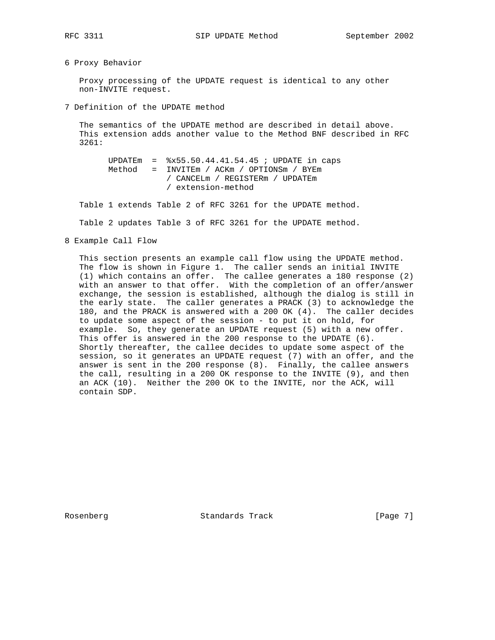6 Proxy Behavior

 Proxy processing of the UPDATE request is identical to any other non-INVITE request.

7 Definition of the UPDATE method

 The semantics of the UPDATE method are described in detail above. This extension adds another value to the Method BNF described in RFC 3261:

 UPDATEm = %x55.50.44.41.54.45 ; UPDATE in caps Method = INVITEm / ACKm / OPTIONSm / BYEm / CANCELm / REGISTERm / UPDATEm / extension-method

Table 1 extends Table 2 of RFC 3261 for the UPDATE method.

Table 2 updates Table 3 of RFC 3261 for the UPDATE method.

8 Example Call Flow

 This section presents an example call flow using the UPDATE method. The flow is shown in Figure 1. The caller sends an initial INVITE (1) which contains an offer. The callee generates a 180 response (2) with an answer to that offer. With the completion of an offer/answer exchange, the session is established, although the dialog is still in the early state. The caller generates a PRACK (3) to acknowledge the 180, and the PRACK is answered with a 200 OK (4). The caller decides to update some aspect of the session - to put it on hold, for example. So, they generate an UPDATE request (5) with a new offer. This offer is answered in the 200 response to the UPDATE (6). Shortly thereafter, the callee decides to update some aspect of the session, so it generates an UPDATE request (7) with an offer, and the answer is sent in the 200 response (8). Finally, the callee answers the call, resulting in a 200 OK response to the INVITE (9), and then an ACK (10). Neither the 200 OK to the INVITE, nor the ACK, will contain SDP.

Rosenberg Standards Track [Page 7]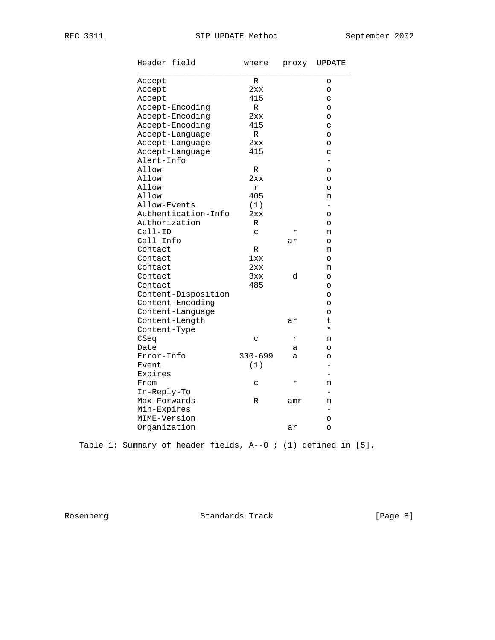| Header field        | where       | proxy | UPDATE                   |
|---------------------|-------------|-------|--------------------------|
| Accept              | R           |       | $\circ$                  |
| Accept              | 2xx         |       | $\circ$                  |
| Accept              | 415         |       | C                        |
| Accept-Encoding     | R           |       | $\circ$                  |
| Accept-Encoding     | 2xx         |       | $\circ$                  |
| Accept-Encoding     | 415         |       | C                        |
| Accept-Language     | R           |       | $\circ$                  |
| Accept-Language     | 2xx         |       | $\circ$                  |
| Accept-Language     | 415         |       | C                        |
| Alert-Info          |             |       | $\overline{\phantom{0}}$ |
| Allow               | R           |       | $\circ$                  |
| Allow               | 2xx         |       | $\circ$                  |
| Allow               | $\Upsilon$  |       | $\circ$                  |
| Allow               | 405         |       | m                        |
| Allow-Events        | (1)         |       | $\qquad \qquad -$        |
| Authentication-Info | 2xx         |       | $\circ$                  |
| Authorization       | R           |       | $\circ$                  |
| $Call$ -ID          | C           | r     | m                        |
| Call-Info           |             | ar    | $\circ$                  |
| Contact             | R           |       | m                        |
| Contact             | 1xx         |       | $\circ$                  |
| Contact             | 2xx         |       | m                        |
| Contact             | 3xx         | d     | $\circ$                  |
| Contact             | 485         |       | O                        |
| Content-Disposition |             |       | $\circ$                  |
| Content-Encoding    |             |       | $\circ$                  |
| Content-Language    |             |       | O                        |
| Content-Length      |             | ar    | t                        |
| Content-Type        |             |       | $\star$                  |
| CSeq                | C           | r     | m                        |
| Date                |             | а     | O                        |
| Error-Info          | $300 - 699$ | a     | O                        |
| Event               | (1)         |       |                          |
| Expires             |             |       |                          |
| From                | C           | r     | m                        |
| $In-Reply-To$       |             |       |                          |
| Max-Forwards        | R           | amr   | m                        |
| Min-Expires         |             |       | $\overline{\phantom{0}}$ |
| MIME-Version        |             |       | O                        |
| Organization        |             | ar    | $\circ$                  |

Table 1: Summary of header fields, A--O ; (1) defined in [5].

Rosenberg Standards Track [Page 8]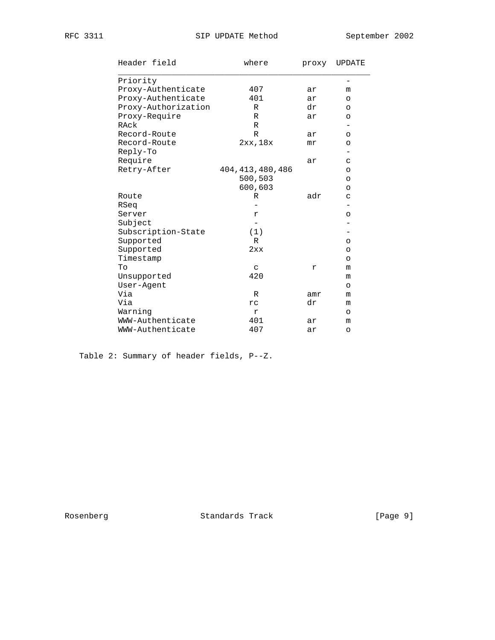| Header field        | where              | proxy | UPDATE       |
|---------------------|--------------------|-------|--------------|
| Priority            |                    |       |              |
| Proxy-Authenticate  | 407                | ar    | m            |
| Proxy-Authenticate  | 401                | ar    | $\circ$      |
| Proxy-Authorization | R                  | dr    | $\circ$      |
| Proxy-Require       | R                  | ar    | $\circ$      |
| RAck                | R                  |       | -            |
| Record-Route        | R                  | ar    | $\circ$      |
| Record-Route        | 2xx,18x            | mr    | $\circ$      |
| Reply-To            |                    |       |              |
| Require             |                    | ar    | C            |
| Retry-After         | 404, 413, 480, 486 |       | $\circ$      |
|                     | 500,503            |       | O            |
|                     | 600,603            |       | $\circ$      |
| Route               | R                  | adr   | $\mathsf{C}$ |
| RSeq                |                    |       |              |
| Server              | r                  |       | $\circ$      |
| Subject             |                    |       |              |
| Subscription-State  | (1)                |       |              |
| Supported           | R                  |       | $\circ$      |
| Supported           | 2xx                |       | $\circ$      |
| Timestamp           |                    |       | $\circ$      |
| To                  | C                  | r     | m            |
| Unsupported         | 420                |       | m            |
| User-Agent          |                    |       | $\circ$      |
| Via                 | R                  | amr   | m            |
| Via                 | rc                 | dr    | m            |
| Warning             | r                  |       | $\circ$      |
| WWW-Authenticate    | 401                | ar    | m            |
| WWW-Authenticate    | 407                | ar    | $\circ$      |

Table 2: Summary of header fields, P--Z.

Rosenberg Standards Track [Page 9]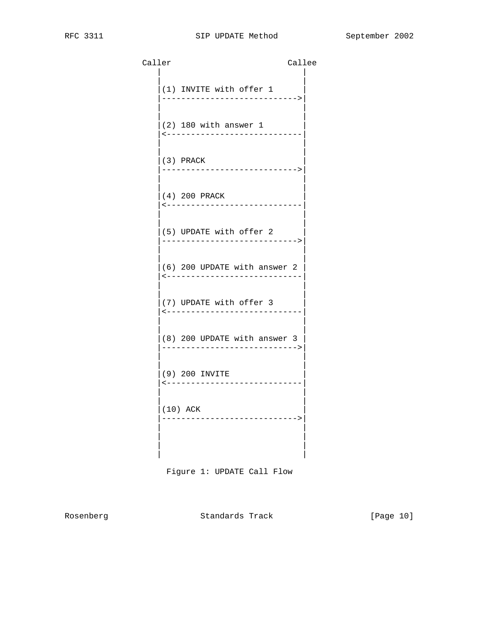| Caller |                                                             | Callee |
|--------|-------------------------------------------------------------|--------|
|        | $(1)$ INVITE with offer 1<br>-----------------------------> |        |
|        | $(2)$ 180 with answer 1<br>-----------------------------    |        |
|        | $(3)$ PRACK                                                 |        |
|        | $(4)$ 200 PRACK<br><-----------------------------           |        |
|        | (5) UPDATE with offer 2                                     |        |
|        | (6) 200 UPDATE with answer 2<br>--------------------------  |        |
|        | (7) UPDATE with offer 3<br>----------------------------     |        |
|        | (8) 200 UPDATE with answer 3                                |        |
|        | (9) 200 INVITE<br><-----------------------------            |        |
|        | $(10)$ ACK                                                  |        |
|        |                                                             |        |

Figure 1: UPDATE Call Flow

Rosenberg Standards Track [Page 10]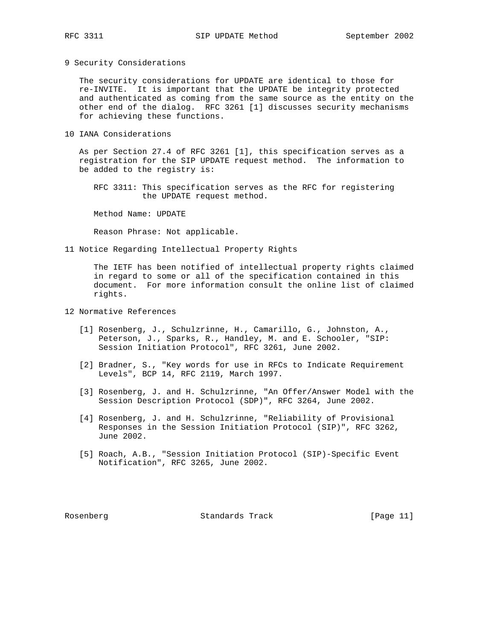9 Security Considerations

 The security considerations for UPDATE are identical to those for re-INVITE. It is important that the UPDATE be integrity protected and authenticated as coming from the same source as the entity on the other end of the dialog. RFC 3261 [1] discusses security mechanisms for achieving these functions.

10 IANA Considerations

 As per Section 27.4 of RFC 3261 [1], this specification serves as a registration for the SIP UPDATE request method. The information to be added to the registry is:

 RFC 3311: This specification serves as the RFC for registering the UPDATE request method.

Method Name: UPDATE

Reason Phrase: Not applicable.

11 Notice Regarding Intellectual Property Rights

 The IETF has been notified of intellectual property rights claimed in regard to some or all of the specification contained in this document. For more information consult the online list of claimed rights.

- 12 Normative References
	- [1] Rosenberg, J., Schulzrinne, H., Camarillo, G., Johnston, A., Peterson, J., Sparks, R., Handley, M. and E. Schooler, "SIP: Session Initiation Protocol", RFC 3261, June 2002.
	- [2] Bradner, S., "Key words for use in RFCs to Indicate Requirement Levels", BCP 14, RFC 2119, March 1997.
	- [3] Rosenberg, J. and H. Schulzrinne, "An Offer/Answer Model with the Session Description Protocol (SDP)", RFC 3264, June 2002.
	- [4] Rosenberg, J. and H. Schulzrinne, "Reliability of Provisional Responses in the Session Initiation Protocol (SIP)", RFC 3262, June 2002.
	- [5] Roach, A.B., "Session Initiation Protocol (SIP)-Specific Event Notification", RFC 3265, June 2002.

Rosenberg Standards Track [Page 11]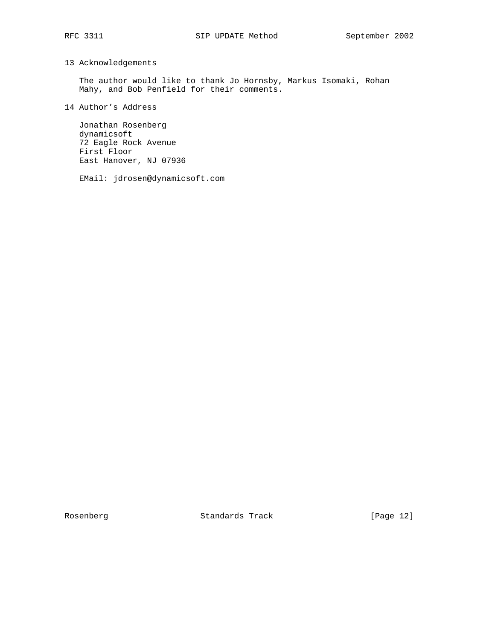# 13 Acknowledgements

 The author would like to thank Jo Hornsby, Markus Isomaki, Rohan Mahy, and Bob Penfield for their comments.

14 Author's Address

 Jonathan Rosenberg dynamicsoft 72 Eagle Rock Avenue First Floor East Hanover, NJ 07936

EMail: jdrosen@dynamicsoft.com

Rosenberg Standards Track [Page 12]